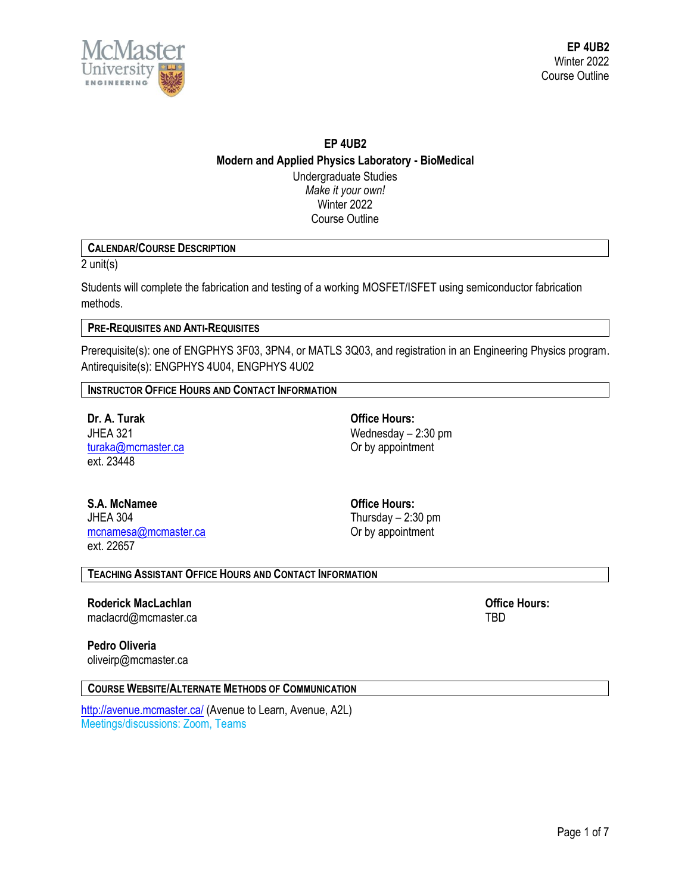

# **EP 4UB2 Modern and Applied Physics Laboratory - BioMedical** Undergraduate Studies *Make it your own!* Winter 2022

Course Outline

# **CALENDAR/COURSE DESCRIPTION**

2 unit(s)

Students will complete the fabrication and testing of a working MOSFET/ISFET using semiconductor fabrication methods.

# **PRE-REQUISITES AND ANTI-REQUISITES**

Prerequisite(s): one of ENGPHYS 3F03, 3PN4, or MATLS 3Q03, and registration in an Engineering Physics program. Antirequisite(s): ENGPHYS 4U04, ENGPHYS 4U02

## **INSTRUCTOR OFFICE HOURS AND CONTACT INFORMATION**

**Dr. A. Turak Office Hours:** [turaka@mcmaster.ca](mailto:turaka@mcmaster.ca) **Or by appointment** ext. 23448

JHEA 321 Wednesday – 2:30 pm

**S.A. McNamee Office Hours:** JHEA 304 Thursday – 2:30 pm mcnamesa@mcmaster.ca **Or by appointment** ext. 22657

## **TEACHING ASSISTANT OFFICE HOURS AND CONTACT INFORMATION**

**Roderick MacLachlan Office Hours:** maclacrd@mcmaster.ca TBD

**Pedro Oliveria**

oliveirp@mcmaster.ca

**COURSE WEBSITE/ALTERNATE METHODS OF COMMUNICATION**

<http://avenue.mcmaster.ca/> (Avenue to Learn, Avenue, A2L) Meetings/discussions: Zoom, Teams

Page 1 of 7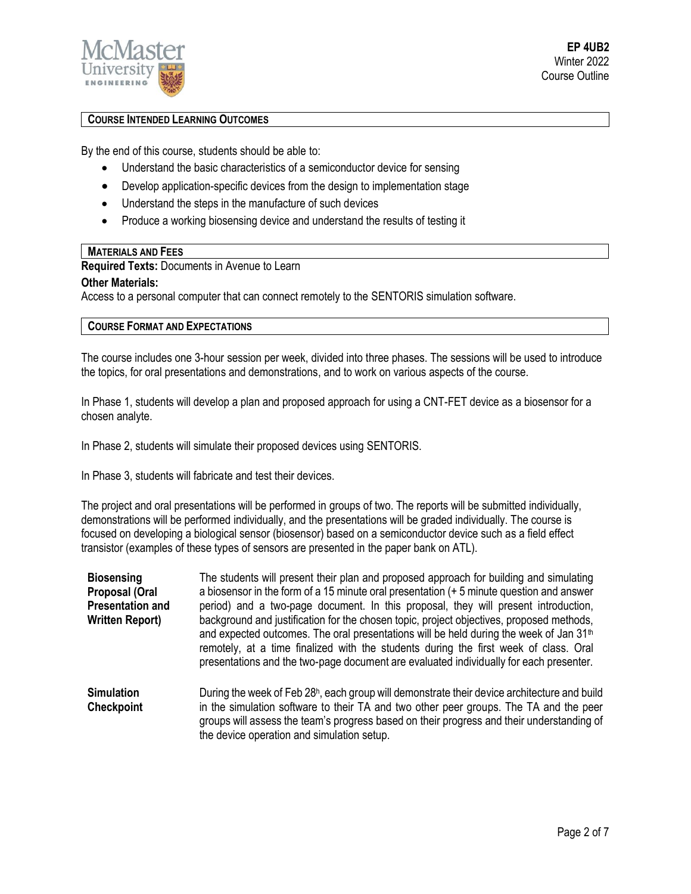

**EP 4UB2** Winter 2022 Course Outline

## **COURSE INTENDED LEARNING OUTCOMES**

By the end of this course, students should be able to:

- Understand the basic characteristics of a semiconductor device for sensing
- Develop application-specific devices from the design to implementation stage
- Understand the steps in the manufacture of such devices
- Produce a working biosensing device and understand the results of testing it

### **MATERIALS AND FEES**

**Required Texts:** Documents in Avenue to Learn

#### **Other Materials:**

Access to a personal computer that can connect remotely to the SENTORIS simulation software.

### **COURSE FORMAT AND EXPECTATIONS**

The course includes one 3-hour session per week, divided into three phases. The sessions will be used to introduce the topics, for oral presentations and demonstrations, and to work on various aspects of the course.

In Phase 1, students will develop a plan and proposed approach for using a CNT-FET device as a biosensor for a chosen analyte.

In Phase 2, students will simulate their proposed devices using SENTORIS.

In Phase 3, students will fabricate and test their devices.

The project and oral presentations will be performed in groups of two. The reports will be submitted individually, demonstrations will be performed individually, and the presentations will be graded individually. The course is focused on developing a biological sensor (biosensor) based on a semiconductor device such as a field effect transistor (examples of these types of sensors are presented in the paper bank on ATL).

| <b>Biosensing</b><br><b>Proposal (Oral</b><br><b>Presentation and</b><br><b>Written Report)</b> | The students will present their plan and proposed approach for building and simulating<br>a biosensor in the form of a 15 minute oral presentation (+ 5 minute question and answer<br>period) and a two-page document. In this proposal, they will present introduction,<br>background and justification for the chosen topic, project objectives, proposed methods,<br>and expected outcomes. The oral presentations will be held during the week of Jan 31 <sup>th</sup><br>remotely, at a time finalized with the students during the first week of class. Oral<br>presentations and the two-page document are evaluated individually for each presenter. |
|-------------------------------------------------------------------------------------------------|--------------------------------------------------------------------------------------------------------------------------------------------------------------------------------------------------------------------------------------------------------------------------------------------------------------------------------------------------------------------------------------------------------------------------------------------------------------------------------------------------------------------------------------------------------------------------------------------------------------------------------------------------------------|
| <b>Simulation</b><br><b>Checkpoint</b>                                                          | During the week of Feb 28 <sup>h</sup> , each group will demonstrate their device architecture and build<br>in the simulation software to their TA and two other peer groups. The TA and the peer<br>groups will assess the team's progress based on their progress and their understanding of                                                                                                                                                                                                                                                                                                                                                               |

the device operation and simulation setup.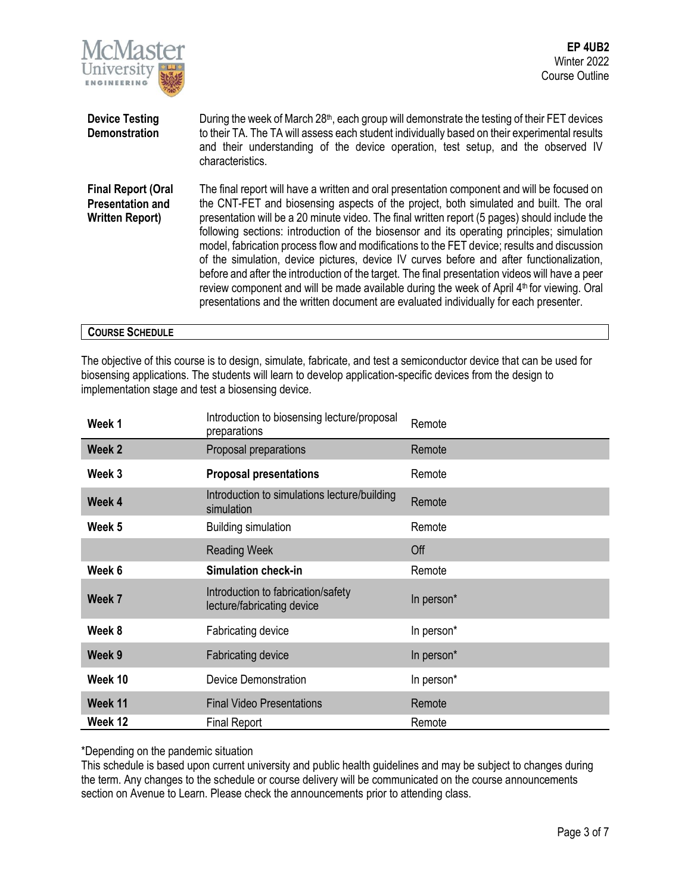

| <b>Device Testing</b><br><b>Demonstration</b>                                  | During the week of March $28th$ , each group will demonstrate the testing of their FET devices<br>to their TA. The TA will assess each student individually based on their experimental results<br>and their understanding of the device operation, test setup, and the observed IV<br>characteristics.                                                                                                                                                                                                                                                                                                                                                                                                                                                                                                                                                                              |
|--------------------------------------------------------------------------------|--------------------------------------------------------------------------------------------------------------------------------------------------------------------------------------------------------------------------------------------------------------------------------------------------------------------------------------------------------------------------------------------------------------------------------------------------------------------------------------------------------------------------------------------------------------------------------------------------------------------------------------------------------------------------------------------------------------------------------------------------------------------------------------------------------------------------------------------------------------------------------------|
| <b>Final Report (Oral</b><br><b>Presentation and</b><br><b>Written Report)</b> | The final report will have a written and oral presentation component and will be focused on<br>the CNT-FET and biosensing aspects of the project, both simulated and built. The oral<br>presentation will be a 20 minute video. The final written report (5 pages) should include the<br>following sections: introduction of the biosensor and its operating principles; simulation<br>model, fabrication process flow and modifications to the FET device; results and discussion<br>of the simulation, device pictures, device IV curves before and after functionalization,<br>before and after the introduction of the target. The final presentation videos will have a peer<br>review component and will be made available during the week of April 4 <sup>th</sup> for viewing. Oral<br>presentations and the written document are evaluated individually for each presenter. |

# **COURSE SCHEDULE**

The objective of this course is to design, simulate, fabricate, and test a semiconductor device that can be used for biosensing applications. The students will learn to develop application-specific devices from the design to implementation stage and test a biosensing device.

| Week 1  | Introduction to biosensing lecture/proposal<br>preparations      | Remote     |
|---------|------------------------------------------------------------------|------------|
| Week 2  | Proposal preparations                                            | Remote     |
| Week 3  | <b>Proposal presentations</b>                                    | Remote     |
| Week 4  | Introduction to simulations lecture/building<br>simulation       | Remote     |
| Week 5  | <b>Building simulation</b>                                       | Remote     |
|         | <b>Reading Week</b>                                              | Off        |
| Week 6  | <b>Simulation check-in</b>                                       | Remote     |
| Week 7  | Introduction to fabrication/safety<br>lecture/fabricating device | In person* |
| Week 8  | Fabricating device                                               | In person* |
| Week 9  | <b>Fabricating device</b>                                        | In person* |
| Week 10 | <b>Device Demonstration</b>                                      | In person* |
| Week 11 | <b>Final Video Presentations</b>                                 | Remote     |
| Week 12 | <b>Final Report</b>                                              | Remote     |

\*Depending on the pandemic situation

This schedule is based upon current university and public health guidelines and may be subject to changes during the term. Any changes to the schedule or course delivery will be communicated on the course announcements section on Avenue to Learn. Please check the announcements prior to attending class.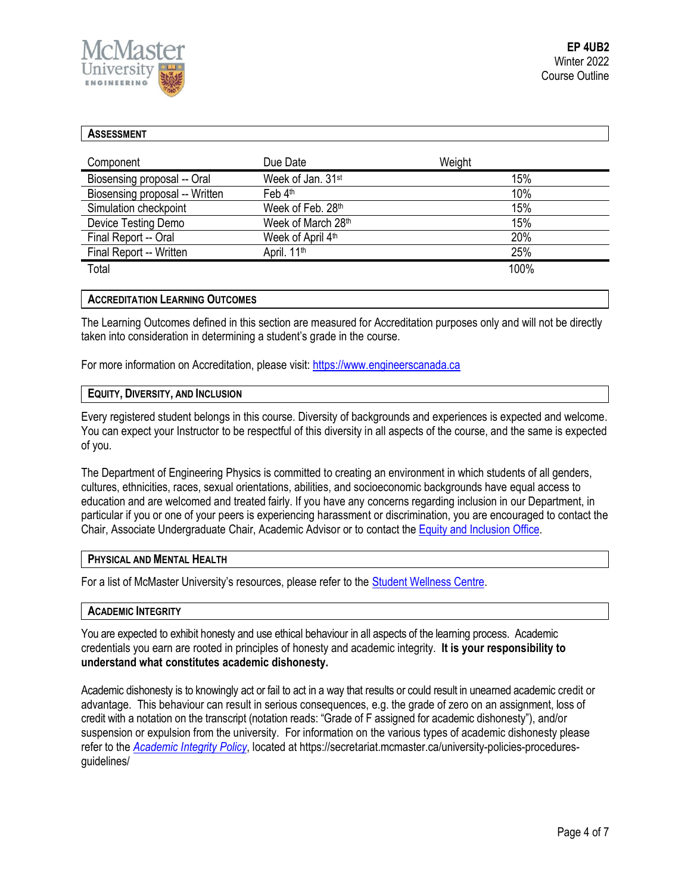

| <b>ASSESSMENT</b>              |                               |        |
|--------------------------------|-------------------------------|--------|
| Component                      | Due Date                      | Weight |
| Biosensing proposal -- Oral    | Week of Jan. 31 <sup>st</sup> | 15%    |
| Biosensing proposal -- Written | Feb 4th                       | 10%    |
| Simulation checkpoint          | Week of Feb. 28th             | 15%    |
| Device Testing Demo            | Week of March 28th            | 15%    |
| Final Report -- Oral           | Week of April 4th             | 20%    |
| Final Report -- Written        | April. 11 <sup>th</sup>       | 25%    |
| Total                          |                               | 100%   |

### **ACCREDITATION LEARNING OUTCOMES**

The Learning Outcomes defined in this section are measured for Accreditation purposes only and will not be directly taken into consideration in determining a student's grade in the course.

For more information on Accreditation, please visit: [https://www.engineerscanada.ca](https://www.engineerscanada.ca/)

### **EQUITY, DIVERSITY, AND INCLUSION**

Every registered student belongs in this course. Diversity of backgrounds and experiences is expected and welcome. You can expect your Instructor to be respectful of this diversity in all aspects of the course, and the same is expected of you.

The Department of Engineering Physics is committed to creating an environment in which students of all genders, cultures, ethnicities, races, sexual orientations, abilities, and socioeconomic backgrounds have equal access to education and are welcomed and treated fairly. If you have any concerns regarding inclusion in our Department, in particular if you or one of your peers is experiencing harassment or discrimination, you are encouraged to contact the Chair, Associate Undergraduate Chair, Academic Advisor or to contact the Equity and [Inclusion](https://equity.mcmaster.ca/) Office.

### **PHYSICAL AND MENTAL HEALTH**

For a list of McMaster University's resources, please refer to the [Student Wellness Centre.](https://wellness.mcmaster.ca/)

#### **ACADEMIC INTEGRITY**

You are expected to exhibit honesty and use ethical behaviour in all aspects of the learning process. Academic credentials you earn are rooted in principles of honesty and academic integrity. **It is your responsibility to understand what constitutes academic dishonesty.**

Academic dishonesty is to knowingly act or fail to act in a way that results or could result in unearned academic credit or advantage. This behaviour can result in serious consequences, e.g. the grade of zero on an assignment, loss of credit with a notation on the transcript (notation reads: "Grade of F assigned for academic dishonesty"), and/or suspension or expulsion from the university. For information on the various types of academic dishonesty please refer to the *[Academic Integrity Policy](https://secretariat.mcmaster.ca/app/uploads/Academic-Integrity-Policy-1-1.pdf)*[,](https://secretariat.mcmaster.ca/app/uploads/Academic-Integrity-Policy-1-1.pdf) located at https://secretariat.mcmaster.ca/university-policies-proceduresguidelines/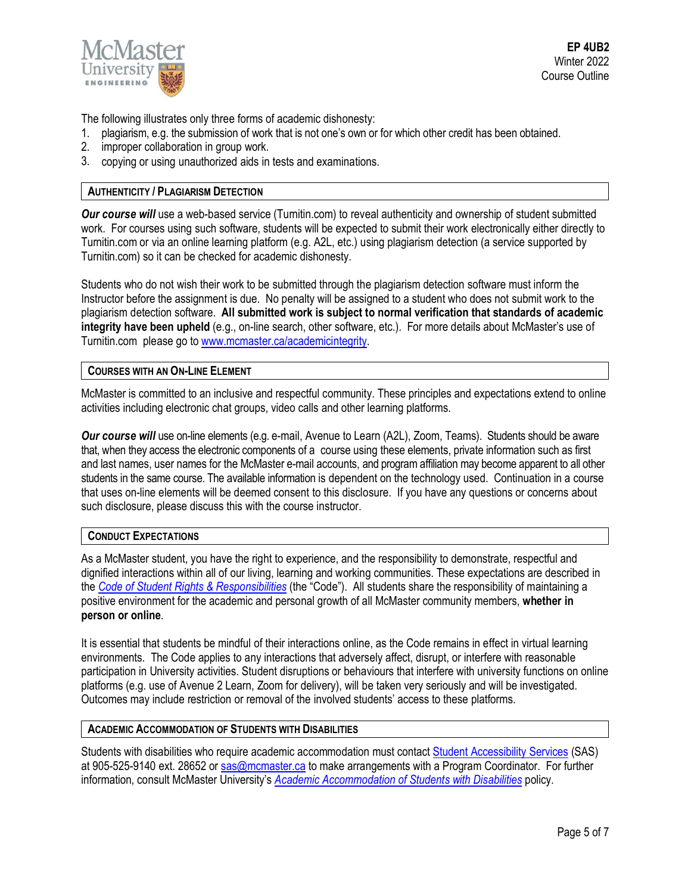

**EP 4UB2** Winter 2022 Course Outline

The following illustrates only three forms of academic dishonesty:

- 1. plagiarism, e.g. the submission of work that is not one's own or for which other credit has been obtained.
- 2. improper collaboration in group work.
- 3. copying or using unauthorized aids in tests and examinations.

## **AUTHENTICITY / PLAGIARISM DETECTION**

*Our course will* use a web-based service (Turnitin.com) to reveal authenticity and ownership of student submitted work. For courses using such software, students will be expected to submit their work electronically either directly to Turnitin.com or via an online learning platform (e.g. A2L, etc.) using plagiarism detection (a service supported by Turnitin.com) so it can be checked for academic dishonesty.

Students who do not wish their work to be submitted through the plagiarism detection software must inform the Instructor before the assignment is due. No penalty will be assigned to a student who does not submit work to the plagiarism detection software. **All submitted work is subject to normal verification that standards of academic integrity have been upheld** (e.g., on-line search, other software, etc.). For more details about McMaster's use of Turnitin.com please go t[o www.mcmaster.ca/academicintegrity.](http://www.mcmaster.ca/academicintegrity)

### **COURSES WITH AN ON-LINE ELEMENT**

McMaster is committed to an inclusive and respectful community. These principles and expectations extend to online activities including electronic chat groups, video calls and other learning platforms.

*Our course will* use on-line elements (e.g. e-mail, Avenue to Learn (A2L), Zoom, Teams). Students should be aware that, when they access the electronic components of a course using these elements, private information such as first and last names, user names for the McMaster e-mail accounts, and program affiliation may become apparent to all other students in the same course. The available information is dependent on the technology used. Continuation in a course that uses on-line elements will be deemed consent to this disclosure. If you have any questions or concerns about such disclosure, please discuss this with the course instructor.

#### **CONDUCT EXPECTATIONS**

As a McMaster student, you have the right to experience, and the responsibility to demonstrate, respectful and dignified interactions within all of our living, learning and working communities. These expectations are described in the *Code of Student Rights & [Responsibilities](https://secretariat.mcmaster.ca/app/uploads/Code-of-Student-Rights-and-Responsibilities.pdf)* (the "Code"). All students share the responsibility of maintaining a positive environment for the academic and personal growth of all McMaster community members, **whether in person or online**.

It is essential that students be mindful of their interactions online, as the Code remains in effect in virtual learning environments. The Code applies to any interactions that adversely affect, disrupt, or interfere with reasonable participation in University activities. Student disruptions or behaviours that interfere with university functions on online platforms (e.g. use of Avenue 2 Learn, Zoom for delivery), will be taken very seriously and will be investigated. Outcomes may include restriction or removal of the involved students' access to these platforms.

#### **ACADEMIC ACCOMMODATION OF STUDENTS WITH DISABILITIES**

Students with disabilities who require academic accommodation must contact Student [Accessibility Services](https://sas.mcmaster.ca/) (SAS) at 905-525-9140 ext. 28652 or [sas@mcmaster.ca](mailto:sas@mcmaster.ca) to make arrangements with a Program Coordinator. For further information, consult McMaster University's *[Academic Accommodation](https://secretariat.mcmaster.ca/app/uploads/Academic-Accommodations-Policy.pdf) of Students with Disabilities* policy.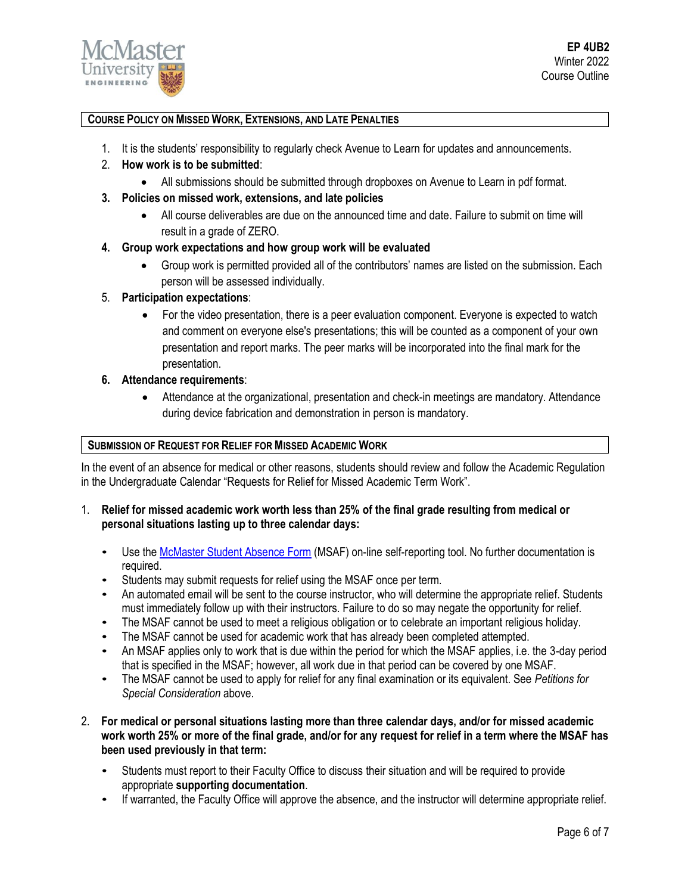

# **COURSE POLICY ON MISSED WORK, EXTENSIONS, AND LATE PENALTIES**

- 1. It is the students' responsibility to regularly check Avenue to Learn for updates and announcements.
- 2. **How work is to be submitted**:
	- All submissions should be submitted through dropboxes on Avenue to Learn in pdf format.
- **3. Policies on missed work, extensions, and late policies**
	- All course deliverables are due on the announced time and date. Failure to submit on time will result in a grade of ZERO.
- **4. Group work expectations and how group work will be evaluated**
	- Group work is permitted provided all of the contributors' names are listed on the submission. Each person will be assessed individually.
- 5. **Participation expectations**:
	- For the video presentation, there is a peer evaluation component. Everyone is expected to watch and comment on everyone else's presentations; this will be counted as a component of your own presentation and report marks. The peer marks will be incorporated into the final mark for the presentation.
- **6. Attendance requirements**:
	- Attendance at the organizational, presentation and check-in meetings are mandatory. Attendance during device fabrication and demonstration in person is mandatory.

## **SUBMISSION OF REQUEST FOR RELIEF FOR MISSED ACADEMIC WORK**

In the event of an absence for medical or other reasons, students should review and follow the Academic Regulation in the Undergraduate Calendar "Requests for Relief for Missed Academic Term Work".

- 1. **Relief for missed academic work worth less than 25% of the final grade resulting from medical or personal situations lasting up to three calendar days:**
	- Use th[e McMaster Student Absence Form](http://mcmaster.ca/msaf/) (MSAF) on-line self-reporting tool. No further documentation is required.
	- Students may submit requests for relief using the MSAF once per term.
	- An automated email will be sent to the course instructor, who will determine the appropriate relief. Students must immediately follow up with their instructors. Failure to do so may negate the opportunity for relief.
	- The MSAF cannot be used to meet a religious obligation or to celebrate an important religious holiday.
	- The MSAF cannot be used for academic work that has already been completed attempted.
	- An MSAF applies only to work that is due within the period for which the MSAF applies, i.e. the 3-day period that is specified in the MSAF; however, all work due in that period can be covered by one MSAF.
	- The MSAF cannot be used to apply for relief for any final examination or its equivalent. See *Petitions for Special Consideration* above.
- 2. **For medical or personal situations lasting more than three calendar days, and/or for missed academic work worth 25% or more of the final grade, and/or for any request for relief in a term where the MSAF has been used previously in that term:**
	- Students must report to their Faculty Office to discuss their situation and will be required to provide appropriate **supporting documentation**.
	- If warranted, the Faculty Office will approve the absence, and the instructor will determine appropriate relief.